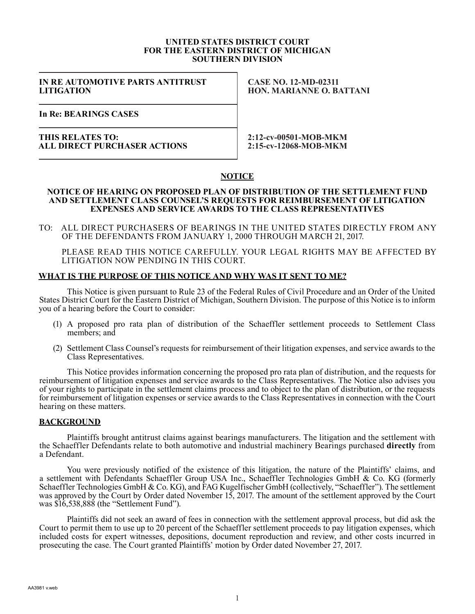#### **UNITED STATES DISTRICT COURT FOR THE EASTERN DISTRICT OF MICHIGAN SOUTHERN DIVISION**

**IN RE AUTOMOTIVE PARTS ANTITRUST LITIGATION**

**CASE NO. 12-MD-02311 HON. MARIANNE O. BATTANI**

**In Re: BEARINGS CASES**

### **THIS RELATES TO: ALL DIRECT PURCHASER ACTIONS**

**2:12-cv-00501-MOB-MKM 2:15-cv-12068-MOB-MKM**

# **NOTICE**

#### **NOTICE OF HEARING ON PROPOSED PLAN OF DISTRIBUTION OF THE SETTLEMENT FUND AND SETTLEMENT CLASS COUNSEL'S REQUESTS FOR REIMBURSEMENT OF LITIGATION EXPENSES AND SERVICE AWARDS TO THE CLASS REPRESENTATIVES**

TO: ALL DIRECT PURCHASERS OF BEARINGS IN THE UNITED STATES DIRECTLY FROM ANY OF THE DEFENDANTS FROM JANUARY 1, 2000 THROUGH MARCH 21, 2017.

PLEASE READ THIS NOTICE CAREFULLY. YOUR LEGAL RIGHTS MAY BE AFFECTED BY LITIGATION NOW PENDING IN THIS COURT.

# **WHAT IS THE PURPOSE OF THIS NOTICE AND WHY WAS IT SENT TO ME?**

This Notice is given pursuant to Rule 23 of the Federal Rules of Civil Procedure and an Order of the United States District Court for the Eastern District of Michigan, Southern Division. The purpose of this Notice is to inform you of a hearing before the Court to consider:

- (1) A proposed pro rata plan of distribution of the Schaeffler settlement proceeds to Settlement Class members; and
- (2) Settlement Class Counsel's requests for reimbursement of their litigation expenses, and service awards to the Class Representatives.

This Notice provides information concerning the proposed pro rata plan of distribution, and the requests for reimbursement of litigation expenses and service awards to the Class Representatives. The Notice also advises you of your rights to participate in the settlement claims process and to object to the plan of distribution, or the requests for reimbursement of litigation expenses or service awards to the Class Representatives in connection with the Court hearing on these matters.

### **BACKGROUND**

Plaintiffs brought antitrust claims against bearings manufacturers. The litigation and the settlement with the Schaeffler Defendants relate to both automotive and industrial machinery Bearings purchased **directly** from a Defendant.

You were previously notified of the existence of this litigation, the nature of the Plaintiffs' claims, and a settlement with Defendants Schaeffler Group USA Inc., Schaeffler Technologies GmbH & Co. KG (formerly Schaeffler Technologies GmbH & Co. KG), and FAG Kugelfischer GmbH (collectively, "Schaeffler"). The settlement was approved by the Court by Order dated November 15, 2017. The amount of the settlement approved by the Court was \$16,538,888 (the "Settlement Fund").

Plaintiffs did not seek an award of fees in connection with the settlement approval process, but did ask the Court to permit them to use up to 20 percent of the Schaeffler settlement proceeds to pay litigation expenses, which included costs for expert witnesses, depositions, document reproduction and review, and other costs incurred in prosecuting the case. The Court granted Plaintiffs' motion by Order dated November 27, 2017.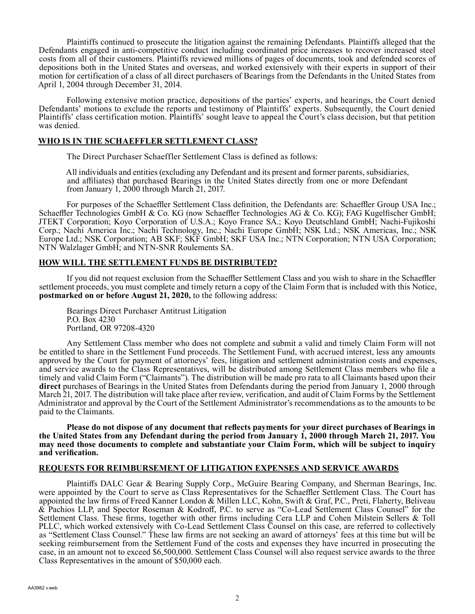Plaintiffs continued to prosecute the litigation against the remaining Defendants. Plaintiffs alleged that the Defendants engaged in anti-competitive conduct including coordinated price increases to recover increased steel costs from all of their customers. Plaintiffs reviewed millions of pages of documents, took and defended scores of depositions both in the United States and overseas, and worked extensively with their experts in support of their motion for certification of a class of all direct purchasers of Bearings from the Defendants in the United States from April 1, 2004 through December 31, 2014.

Following extensive motion practice, depositions of the parties' experts, and hearings, the Court denied Defendants' motions to exclude the reports and testimony of Plaintiffs' experts. Subsequently, the Court denied Plaintiffs' class certification motion. Plaintiffs' sought leave to appeal the Court's class decision, but that petition was denied.

# **WHO IS IN THE SCHAEFFLER SETTLEMENT CLASS?**

The Direct Purchaser Schaeffler Settlement Class is defined as follows:

All individuals and entities (excluding any Defendant and its present and former parents, subsidiaries, and affiliates) that purchased Bearings in the United States directly from one or more Defendant from January 1, 2000 through March 21, 2017.

For purposes of the Schaeffler Settlement Class definition, the Defendants are: Schaeffler Group USA Inc.; Schaeffler Technologies GmbH & Co. KG (now Schaeffler Technologies AG & Co. KG); FAG Kugelfischer GmbH; JTEKT Corporation; Koyo Corporation of U.S.A.; Koyo France SA.; Koyo Deutschland GmbH; Nachi-Fujikoshi Corp.; Nachi America Inc.; Nachi Technology, Inc.; Nachi Europe GmbH; NSK Ltd.; NSK Americas, Inc.; NSK Europe Ltd.; NSK Corporation; AB SKF; SKF GmbH; SKF USA Inc.; NTN Corporation; NTN USA Corporation; NTN Walzlager GmbH; and NTN-SNR Roulements SA.

# **HOW WILL THE SETTLEMENT FUNDS BE DISTRIBUTED?**

If you did not request exclusion from the Schaeffler Settlement Class and you wish to share in the Schaeffler settlement proceeds, you must complete and timely return a copy of the Claim Form that is included with this Notice, **postmarked on or before August 21, 2020,** to the following address:

Bearings Direct Purchaser Antitrust Litigation P.O. Box 4230 Portland, OR 97208-4320

Any Settlement Class member who does not complete and submit a valid and timely Claim Form will not be entitled to share in the Settlement Fund proceeds. The Settlement Fund, with accrued interest, less any amounts approved by the Court for payment of attorneys' fees, litigation and settlement administration costs and expenses, and service awards to the Class Representatives, will be distributed among Settlement Class members who file a timely and valid Claim Form ("Claimants"). The distribution will be made pro rata to all Claimants based upon their **direct** purchases of Bearings in the United States from Defendants during the period from January 1, 2000 through March 21, 2017. The distribution will take place after review, verification, and audit of Claim Forms by the Settlement Administrator and approval by the Court of the Settlement Administrator's recommendations as to the amounts to be paid to the Claimants.

**Please do not dispose of any document that reflects payments for your direct purchases of Bearings in the United States from any Defendant during the period from January 1, 2000 through March 21, 2017. You may need those documents to complete and substantiate your Claim Form, which will be subject to inquiry and verification.**

### **REQUESTS FOR REIMBURSEMENT OF LITIGATION EXPENSES AND SERVICE AWARDS**

Plaintiffs DALC Gear & Bearing Supply Corp., McGuire Bearing Company, and Sherman Bearings, Inc. were appointed by the Court to serve as Class Representatives for the Schaeffler Settlement Class. The Court has appointed the law firms of Freed Kanner London & Millen LLC, Kohn, Swift & Graf, P.C., Preti, Flaherty, Beliveau & Pachios LLP, and Spector Roseman & Kodroff, P.C. to serve as "Co-Lead Settlement Class Counsel" for the Settlement Class. These firms, together with other firms including Cera LLP and Cohen Milstein Sellers & Toll PLLC, which worked extensively with Co-Lead Settlement Class Counsel on this case, are referred to collectively as "Settlement Class Counsel." These law firms are not seeking an award of attorneys' fees at this time but will be seeking reimbursement from the Settlement Fund of the costs and expenses they have incurred in prosecuting the case, in an amount not to exceed \$6,500,000. Settlement Class Counsel will also request service awards to the three Class Representatives in the amount of \$50,000 each.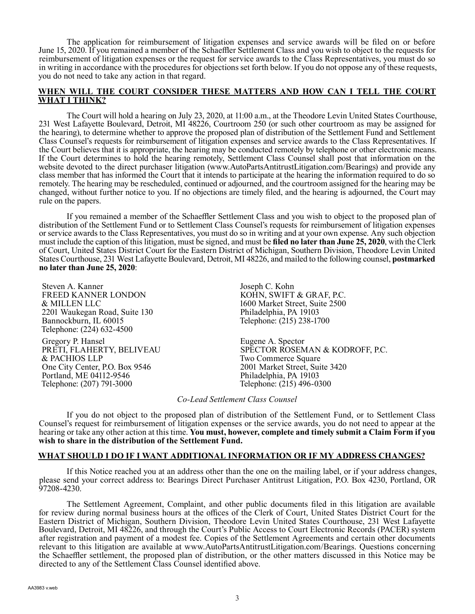The application for reimbursement of litigation expenses and service awards will be filed on or before June 15, 2020. If you remained a member of the Schaeffler Settlement Class and you wish to object to the requests for reimbursement of litigation expenses or the request for service awards to the Class Representatives, you must do so in writing in accordance with the procedures for objections set forth below. If you do not oppose any of these requests, you do not need to take any action in that regard.

# **WHEN WILL THE COURT CONSIDER THESE MATTERS AND HOW CAN I TELL THE COURT WHAT I THINK?**

The Court will hold a hearing on July 23, 2020, at 11:00 a.m., at the Theodore Levin United States Courthouse, 231 West Lafayette Boulevard, Detroit, MI 48226, Courtroom 250 (or such other courtroom as may be assigned for the hearing), to determine whether to approve the proposed plan of distribution of the Settlement Fund and Settlement Class Counsel's requests for reimbursement of litigation expenses and service awards to the Class Representatives. If the Court believes that it is appropriate, the hearing may be conducted remotely by telephone or other electronic means. If the Court determines to hold the hearing remotely, Settlement Class Counsel shall post that information on the website devoted to the direct purchaser litigation (www.AutoPartsAntitrustLitigation.com/Bearings) and provide any class member that has informed the Court that it intends to participate at the hearing the information required to do so remotely. The hearing may be rescheduled, continued or adjourned, and the courtroom assigned for the hearing may be changed, without further notice to you. If no objections are timely filed, and the hearing is adjourned, the Court may rule on the papers.

If you remained a member of the Schaeffler Settlement Class and you wish to object to the proposed plan of distribution of the Settlement Fund or to Settlement Class Counsel's requests for reimbursement of litigation expenses or service awards to the Class Representatives, you must do so in writing and at your own expense. Any such objection must include the caption of this litigation, must be signed, and must be **filed no later than June 25, 2020**, with the Clerk of Court, United States District Court for the Eastern District of Michigan, Southern Division, Theodore Levin United States Courthouse, 231 West Lafayette Boulevard, Detroit, MI 48226, and mailed to the following counsel, **postmarked no later than June 25, 2020**:

Steven A. Kanner FREED KANNER LONDON & MILLEN LLC 2201 Waukegan Road, Suite 130 Bannockburn, IL 60015 Telephone: (224) 632-4500

Gregory P. Hansel PRETI, FLAHERTY, BELIVEAU & PACHIOS LLP One City Center, P.O. Box 9546 Portland, ME 04112-9546 Telephone: (207) 791-3000

Joseph C. Kohn KOHN, SWIFT & GRAF, P.C. 1600 Market Street, Suite 2500 Philadelphia, PA 19103 Telephone: (215) 238-1700

Eugene A. Spector SPECTOR ROSEMAN & KODROFF, P.C. Two Commerce Square 2001 Market Street, Suite 3420 Philadelphia, PA 19103 Telephone: (215) 496-0300

*Co-Lead Settlement Class Counsel*

If you do not object to the proposed plan of distribution of the Settlement Fund, or to Settlement Class Counsel's request for reimbursement of litigation expenses or the service awards, you do not need to appear at the hearing or take any other action at this time. **You must, however, complete and timely submit a Claim Form if you wish to share in the distribution of the Settlement Fund.**

### **WHAT SHOULD I DO IF I WANT ADDITIONAL INFORMATION OR IF MY ADDRESS CHANGES?**

If this Notice reached you at an address other than the one on the mailing label, or if your address changes, please send your correct address to: Bearings Direct Purchaser Antitrust Litigation, P.O. Box 4230, Portland, OR 97208-4230.

The Settlement Agreement, Complaint, and other public documents filed in this litigation are available for review during normal business hours at the offices of the Clerk of Court, United States District Court for the Eastern District of Michigan, Southern Division, Theodore Levin United States Courthouse, 231 West Lafayette Boulevard, Detroit, MI 48226, and through the Court's Public Access to Court Electronic Records (PACER) system after registration and payment of a modest fee. Copies of the Settlement Agreements and certain other documents relevant to this litigation are available at www.AutoPartsAntitrustLitigation.com/Bearings. Questions concerning the Schaeffler settlement, the proposed plan of distribution, or the other matters discussed in this Notice may be directed to any of the Settlement Class Counsel identified above.